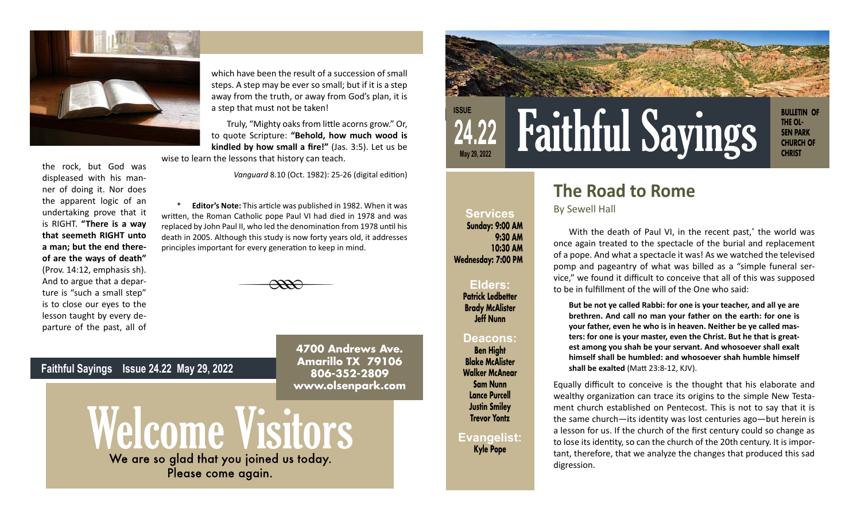

the rock, but God was displeased with his manner of doing it. Nor does the apparent logic of an undertaking prove that it is RIGHT. **"There is a way that seemeth RIGHT unto a man; but the end thereof are the ways of death"** (Prov. 14:12, emphasis sh). And to argue that a departure is "such a small step" is to close our eyes to the lesson taught by every departure of the past, all of

which have been the result of a succession of small steps. A step may be ever so small; but if it is a step away from the truth, or away from God's plan, it is a step that must not be taken!

Truly, "Mighty oaks from little acorns grow." Or, to quote Scripture: **"Behold, how much wood is kindled by how small a fire!"** (Jas. 3:5). Let us be wise to learn the lessons that history can teach.

*Vanguard* 8.10 (Oct. 1982): 25-26 (digital edition)

**Editor's Note:** This article was published in 1982. When it was written, the Roman Catholic pope Paul VI had died in 1978 and was replaced by John Paul II, who led the denomination from 1978 until his death in 2005. Although this study is now forty years old, it addresses principles important for every generation to keep in mind.

 $\overline{\phantom{a}}$ 

**4700 Andrews Ave. Amarillo TX 79106 806-352-2809 www.olsenpark.com**



## **The Road to Rome**

By Sewell Hall

**Services Sunday: 9:00 AM**

**Wednesday: 7:00 PM**

**Elders: Patrick Ledbetter Brady McAlister Jeff Nunn** 

**Deacons: Ben Hight Blake McAlister Walker McAnear Sam Nunn Lance Purcell Justin Smiley Trevor Yontz**

**Evangelist: Kyle Pope**

**9:30 AM 10:30 AM**

With the death of Paul VI, in the recent past,\* the world was once again treated to the spectacle of the burial and replacement of a pope. And what a spectacle it was! As we watched the televised pomp and pageantry of what was billed as a "simple funeral service," we found it difficult to conceive that all of this was supposed to be in fulfillment of the will of the One who said:

**But be not ye called Rabbi: for one is your teacher, and all ye are brethren. And call no man your father on the earth: for one is your father, even he who is in heaven. Neither be ye called masters: for one is your master, even the Christ. But he that is greatest among you shah be your servant. And whosoever shall exalt himself shall be humbled: and whosoever shah humble himself shall be exalted** (Matt 23:8-12, KJV).

Equally difficult to conceive is the thought that his elaborate and wealthy organization can trace its origins to the simple New Testament church established on Pentecost. This is not to say that it is the same church—its identity was lost centuries ago—but herein is a lesson for us. If the church of the first century could so change as to lose its identity, so can the church of the 20th century. It is important, therefore, that we analyze the changes that produced this sad digression.

**Faithful Sayings Issue 24.22 May 29, 2022**



Please come again.